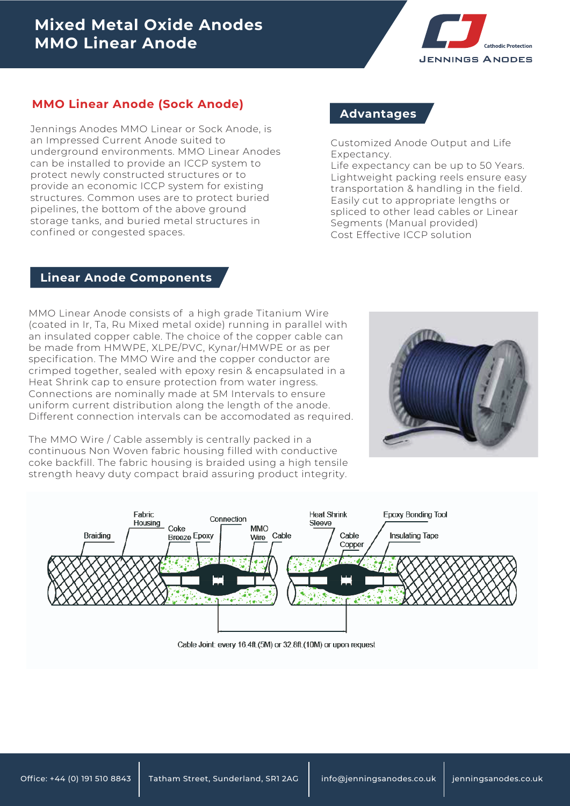# **Mixed Metal Oxide Anodes MMO Linear Anode**



### **MMO Linear Anode (Sock Anode)**

Jennings Anodes MMO Linear or Sock Anode, is an Impressed Current Anode suited to underground environments. MMO Linear Anodes can be installed to provide an ICCP system to protect newly constructed structures or to provide an economic ICCP system for existing structures. Common uses are to protect buried pipelines, the bottom of the above ground storage tanks, and buried metal structures in confined or congested spaces.

### **Advantages**

Customized Anode Output and Life Expectancy.

Life expectancy can be up to 50 Years. Lightweight packing reels ensure easy transportation & handling in the field. Easily cut to appropriate lengths or spliced to other lead cables or Linear Segments (Manual provided) Cost Effective ICCP solution

#### **Linear Anode Components**

MMO Linear Anode consists of a high grade Titanium Wire (coated in Ir, Ta, Ru Mixed metal oxide) running in parallel with an insulated copper cable. The choice of the copper cable can be made from HMWPE, XLPE/PVC, Kynar/HMWPE or as per specification. The MMO Wire and the copper conductor are crimped together, sealed with epoxy resin & encapsulated in a Heat Shrink cap to ensure protection from water ingress. Connections are nominally made at 5M Intervals to ensure uniform current distribution along the length of the anode. Different connection intervals can be accomodated as required.



The MMO Wire / Cable assembly is centrally packed in a continuous Non Woven fabric housing filled with conductive coke backfill. The fabric housing is braided using a high tensile strength heavy duty compact braid assuring product integrity.



Cable Joint: every 16.4ft.(5M) or 32.8ft.(10M) or upon request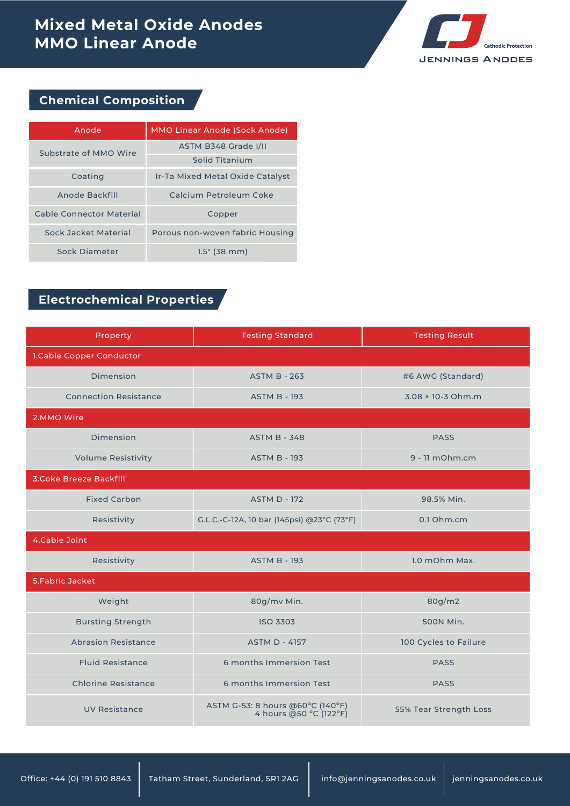# **Mixed Metal Oxide Anodes MMO Linear Anode**



## **Chemical Composition**

| Anode                           | MMO Linear Anode (Sock Anode)    |  |  |
|---------------------------------|----------------------------------|--|--|
| Substrate of MMO Wire           | ASTM B348 Grade I/II             |  |  |
|                                 | Solid Titanium                   |  |  |
| Coating                         | Ir-Ta Mixed Metal Oxide Catalyst |  |  |
| Anode Backfill                  | Calcium Petroleum Coke           |  |  |
| <b>Cable Connector Material</b> | Copper                           |  |  |
| Sock Jacket Material            | Porous non-woven fabric Housing  |  |  |
| Sock Diameter                   | $1.5"$ (38 mm)                   |  |  |

## **Electrochemical Properties**

| Property                      | <b>Testing Standard</b>                                                              | <b>Testing Result</b> |  |  |
|-------------------------------|--------------------------------------------------------------------------------------|-----------------------|--|--|
| 1.Cable Copper Conductor      |                                                                                      |                       |  |  |
| Dimension                     | <b>ASTM B - 263</b>                                                                  | #6 AWG (Standard)     |  |  |
| <b>Connection Resistance</b>  | <b>ASTM B - 193</b>                                                                  | 3.08 × 10-3 Ohm.m     |  |  |
| 2.MMO Wire                    |                                                                                      |                       |  |  |
| Dimension                     | <b>ASTM B - 348</b>                                                                  | <b>PASS</b>           |  |  |
| <b>Volume Resistivity</b>     | <b>ASTM B - 193</b>                                                                  | $9 - 11$ mOhm.cm      |  |  |
| <b>3.Coke Breeze Backfill</b> |                                                                                      |                       |  |  |
| <b>Fixed Carbon</b>           | <b>ASTM D - 172</b>                                                                  | 98.5% Min.            |  |  |
| Resistivity                   | G.L.C.-C-12A, 10 bar (145psi) @23°C (73°F)                                           | 0.1 Ohm.cm            |  |  |
| 4.Cable Joint                 |                                                                                      |                       |  |  |
| Resistivity                   | <b>ASTM B - 193</b>                                                                  | 1.0 mOhm Max.         |  |  |
| 5. Fabric Jacket              |                                                                                      |                       |  |  |
| Weight                        | 80g/mv Min.                                                                          | 80g/m2                |  |  |
| <b>Bursting Strength</b>      | <b>ISO 3303</b>                                                                      | 500N Min.             |  |  |
| <b>Abrasion Resistance</b>    | <b>ASTM D - 4157</b>                                                                 | 100 Cycles to Failure |  |  |
| <b>Fluid Resistance</b>       | 6 months Immersion Test                                                              | <b>PASS</b>           |  |  |
| <b>Chlorine Resistance</b>    | 6 months Immersion Test                                                              | <b>PASS</b>           |  |  |
| <b>UV Resistance</b>          | ASTM G-53: 8 hours @60°C (140°F)<br>55% Tear Strength Loss<br>4 hours @50 °C (122°F) |                       |  |  |